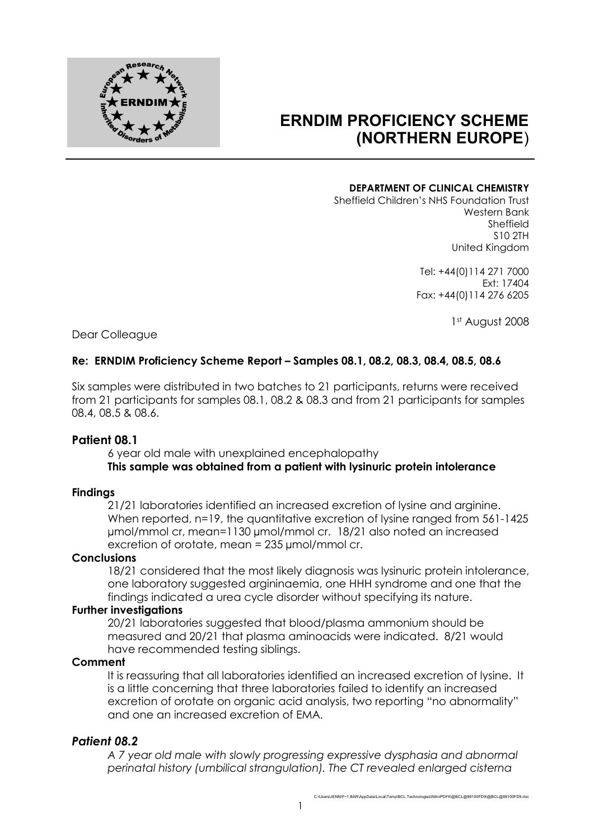

# **ERNDIM PROFICIENCY SCHEME (NORTHERN EUROPE**)

#### **DEPARTMENT OF CLINICAL CHEMISTRY**

Sheffield Children's NHS Foundation Trust Western Bank Sheffield S10 2TH United Kingdom

> Tel: +44(0)114 271 7000 Ext: 17404 Fax: +44(0)114 276 6205

> > 1st August 2008

Dear Colleague

### **Re: ERNDIM Proficiency Scheme Report – Samples 08.1, 08.2, 08.3, 08.4, 08.5, 08.6**

Six samples were distributed in two batches to 21 participants, returns were received from 21 participants for samples 08.1, 08.2 & 08.3 and from 21 participants for samples 08.4, 08.5 & 08.6.

### **Patient 08.1**

6 year old male with unexplained encephalopathy **This sample was obtained from a patient with lysinuric protein intolerance**

#### **Findings**

21/21 laboratories identified an increased excretion of lysine and arginine. When reported, n=19, the quantitative excretion of lysine ranged from 561-1425 µmol/mmol cr, mean=1130 µmol/mmol cr. 18/21 also noted an increased excretion of orotate, mean = 235 µmol/mmol cr.

### **Conclusions**

18/21 considered that the most likely diagnosis was lysinuric protein intolerance, one laboratory suggested argininaemia, one HHH syndrome and one that the findings indicated a urea cycle disorder without specifying its nature.

#### **Further investigations**

20/21 laboratories suggested that blood/plasma ammonium should be measured and 20/21 that plasma aminoacids were indicated. 8/21 would have recommended testing siblings.

#### **Comment**

It is reassuring that all laboratories identified an increased excretion of lysine. It is a little concerning that three laboratories failed to identify an increased excretion of orotate on organic acid analysis, two reporting "no abnormality" and one an increased excretion of EMA.

### *Patient 08.2*

*A 7 year old male with slowly progressing expressive dysphasia and abnormal perinatal history (umbilical strangulation). The CT revealed enlarged cisterna*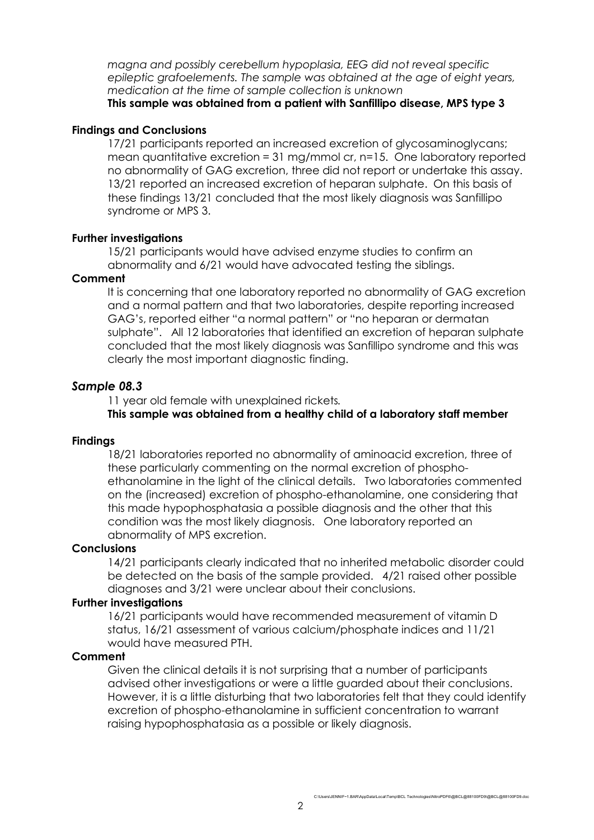*magna and possibly cerebellum hypoplasia, EEG did not reveal specific epileptic grafoelements. The sample was obtained at the age of eight years, medication at the time of sample collection is unknown*

### **This sample was obtained from a patient with Sanfillipo disease, MPS type 3**

### **Findings and Conclusions**

17/21 participants reported an increased excretion of glycosaminoglycans; mean quantitative excretion = 31 mg/mmol cr, n=15. One laboratory reported no abnormality of GAG excretion, three did not report or undertake this assay. 13/21 reported an increased excretion of heparan sulphate. On this basis of these findings 13/21 concluded that the most likely diagnosis was Sanfillipo syndrome or MPS 3.

### **Further investigations**

15/21 participants would have advised enzyme studies to confirm an abnormality and 6/21 would have advocated testing the siblings.

### **Comment**

It is concerning that one laboratory reported no abnormality of GAG excretion and a normal pattern and that two laboratories, despite reporting increased GAG's, reported either "a normal pattern" or "no heparan or dermatan sulphate". All 12 laboratories that identified an excretion of heparan sulphate concluded that the most likely diagnosis was Sanfillipo syndrome and this was clearly the most important diagnostic finding.

### *Sample 08.3*

11 year old female with unexplained rickets*.*

### **This sample was obtained from a healthy child of a laboratory staff member**

### **Findings**

18/21 laboratories reported no abnormality of aminoacid excretion, three of these particularly commenting on the normal excretion of phosphoethanolamine in the light of the clinical details. Two laboratories commented on the (increased) excretion of phospho-ethanolamine, one considering that this made hypophosphatasia a possible diagnosis and the other that this condition was the most likely diagnosis. One laboratory reported an abnormality of MPS excretion.

### **Conclusions**

14/21 participants clearly indicated that no inherited metabolic disorder could be detected on the basis of the sample provided. 4/21 raised other possible diagnoses and 3/21 were unclear about their conclusions.

### **Further investigations**

16/21 participants would have recommended measurement of vitamin D status, 16/21 assessment of various calcium/phosphate indices and 11/21 would have measured PTH.

### **Comment**

Given the clinical details it is not surprising that a number of participants advised other investigations or were a little guarded about their conclusions. However, it is a little disturbing that two laboratories felt that they could identify excretion of phospho-ethanolamine in sufficient concentration to warrant raising hypophosphatasia as a possible or likely diagnosis.

C:\Users\JENNIF~1.BAR\AppData\Local\Temp\BCL Technologies\NitroPDF6\@BCL@88100FD9\@BCL@88100FD9.doc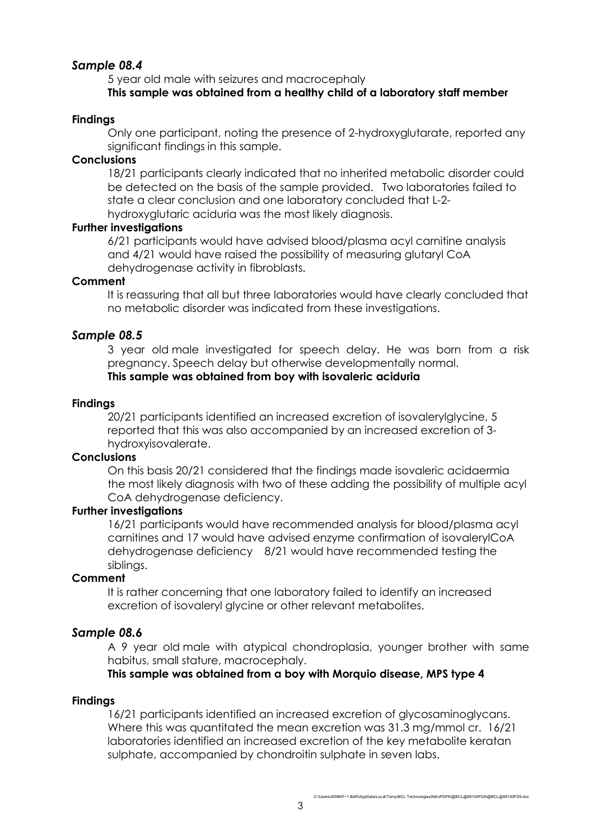# *Sample 08.4*

5 year old male with seizures and macrocephaly **This sample was obtained from a healthy child of a laboratory staff member**

## **Findings**

Only one participant, noting the presence of 2-hydroxyglutarate, reported any significant findings in this sample.

### **Conclusions**

18/21 participants clearly indicated that no inherited metabolic disorder could be detected on the basis of the sample provided. Two laboratories failed to state a clear conclusion and one laboratory concluded that L-2 hydroxyglutaric aciduria was the most likely diagnosis.

### **Further investigations**

6/21 participants would have advised blood/plasma acyl carnitine analysis and 4/21 would have raised the possibility of measuring glutaryl CoA dehydrogenase activity in fibroblasts.

### **Comment**

It is reassuring that all but three laboratories would have clearly concluded that no metabolic disorder was indicated from these investigations.

# *Sample 08.5*

3 year old male investigated for speech delay. He was born from a risk pregnancy. Speech delay but otherwise developmentally normal. **This sample was obtained from boy with isovaleric aciduria**

### **Findings**

20/21 participants identified an increased excretion of isovalerylglycine, 5 reported that this was also accompanied by an increased excretion of 3 hydroxyisovalerate.

# **Conclusions**

On this basis 20/21 considered that the findings made isovaleric acidaermia the most likely diagnosis with two of these adding the possibility of multiple acyl CoA dehydrogenase deficiency.

### **Further investigations**

16/21 participants would have recommended analysis for blood/plasma acyl carnitines and 17 would have advised enzyme confirmation of isovalerylCoA dehydrogenase deficiency 8/21 would have recommended testing the siblings.

### **Comment**

It is rather concerning that one laboratory failed to identify an increased excretion of isovaleryl glycine or other relevant metabolites.

# *Sample 08.6*

A 9 year old male with atypical chondroplasia, younger brother with same habitus, small stature, macrocephaly.

### **This sample was obtained from a boy with Morquio disease, MPS type 4**

### **Findings**

16/21 participants identified an increased excretion of glycosaminoglycans. Where this was quantitated the mean excretion was 31.3 mg/mmol cr. 16/21 laboratories identified an increased excretion of the key metabolite keratan sulphate, accompanied by chondroitin sulphate in seven labs.

C:\Users\JENNIF~1.BAR\AppData\Local\Temp\BCL Technologies\NitroPDF6\@BCL@88100FD9\@BCL@88100FD9.doc